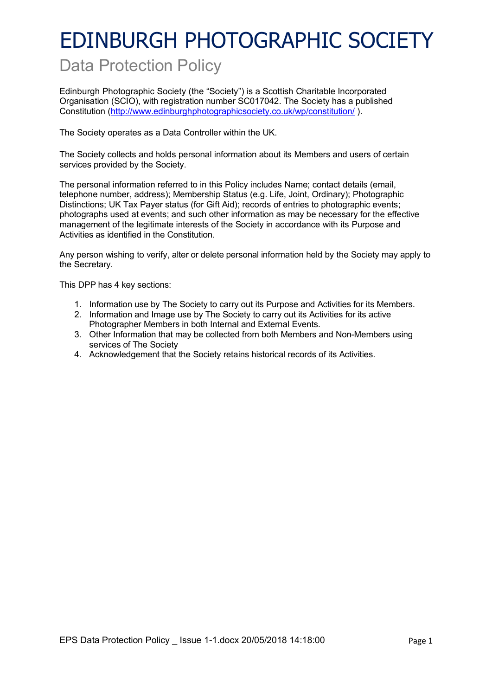# EDINBURGH PHOTOGRAPHIC SOCIETY

### Data Protection Policy

Edinburgh Photographic Society (the "Society") is a Scottish Charitable Incorporated Organisation (SCIO), with registration number SC017042. The Society has a published Constitution (http://www.edinburghphotographicsociety.co.uk/wp/constitution/ ).

The Society operates as a Data Controller within the UK.

The Society collects and holds personal information about its Members and users of certain services provided by the Society.

The personal information referred to in this Policy includes Name; contact details (email, telephone number, address); Membership Status (e.g. Life, Joint, Ordinary); Photographic Distinctions; UK Tax Payer status (for Gift Aid); records of entries to photographic events; photographs used at events; and such other information as may be necessary for the effective management of the legitimate interests of the Society in accordance with its Purpose and Activities as identified in the Constitution.

Any person wishing to verify, alter or delete personal information held by the Society may apply to the Secretary.

This DPP has 4 key sections:

- 1. Information use by The Society to carry out its Purpose and Activities for its Members.
- 2. Information and Image use by The Society to carry out its Activities for its active Photographer Members in both Internal and External Events.
- 3. Other Information that may be collected from both Members and Non-Members using services of The Society
- 4. Acknowledgement that the Society retains historical records of its Activities.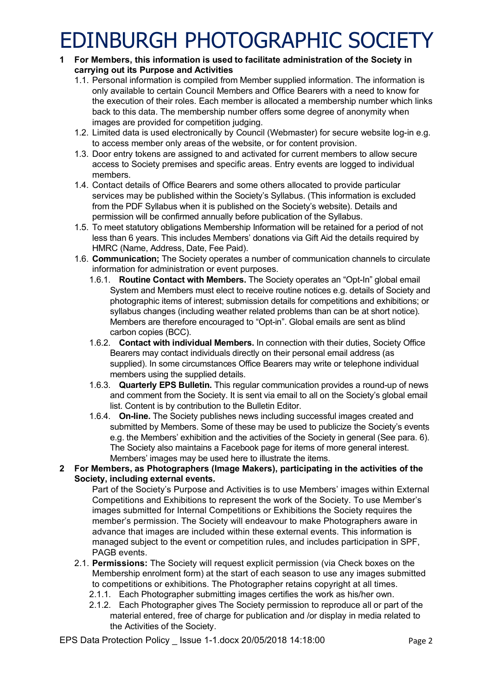## EDINBURGH PHOTOGRAPHIC SOCIETY

- **1 For Members, this information is used to facilitate administration of the Society in carrying out its Purpose and Activities**
	- 1.1. Personal information is compiled from Member supplied information. The information is only available to certain Council Members and Office Bearers with a need to know for the execution of their roles. Each member is allocated a membership number which links back to this data. The membership number offers some degree of anonymity when images are provided for competition judging.
	- 1.2. Limited data is used electronically by Council (Webmaster) for secure website log-in e.g. to access member only areas of the website, or for content provision.
	- 1.3. Door entry tokens are assigned to and activated for current members to allow secure access to Society premises and specific areas. Entry events are logged to individual members.
	- 1.4. Contact details of Office Bearers and some others allocated to provide particular services may be published within the Society's Syllabus. (This information is excluded from the PDF Syllabus when it is published on the Society's website). Details and permission will be confirmed annually before publication of the Syllabus.
	- 1.5. To meet statutory obligations Membership Information will be retained for a period of not less than 6 years. This includes Members' donations via Gift Aid the details required by HMRC (Name, Address, Date, Fee Paid).
	- 1.6. **Communication;** The Society operates a number of communication channels to circulate information for administration or event purposes.
		- 1.6.1. **Routine Contact with Members.** The Society operates an "Opt-In" global email System and Members must elect to receive routine notices e.g. details of Society and photographic items of interest; submission details for competitions and exhibitions; or syllabus changes (including weather related problems than can be at short notice). Members are therefore encouraged to "Opt-in". Global emails are sent as blind carbon copies (BCC).
		- 1.6.2. **Contact with individual Members.** In connection with their duties, Society Office Bearers may contact individuals directly on their personal email address (as supplied). In some circumstances Office Bearers may write or telephone individual members using the supplied details.
		- 1.6.3. **Quarterly EPS Bulletin.** This regular communication provides a round-up of news and comment from the Society. It is sent via email to all on the Society's global email list. Content is by contribution to the Bulletin Editor.
		- 1.6.4. **On-line.** The Society publishes news including successful images created and submitted by Members. Some of these may be used to publicize the Society's events e.g. the Members' exhibition and the activities of the Society in general (See para. 6). The Society also maintains a Facebook page for items of more general interest. Members' images may be used here to illustrate the items.

#### **2 For Members, as Photographers (Image Makers), participating in the activities of the Society, including external events.**

Part of the Society's Purpose and Activities is to use Members' images within External Competitions and Exhibitions to represent the work of the Society. To use Member's images submitted for Internal Competitions or Exhibitions the Society requires the member's permission. The Society will endeavour to make Photographers aware in advance that images are included within these external events. This information is managed subject to the event or competition rules, and includes participation in SPF, PAGB events.

- 2.1. **Permissions:** The Society will request explicit permission (via Check boxes on the Membership enrolment form) at the start of each season to use any images submitted to competitions or exhibitions. The Photographer retains copyright at all times.
	- 2.1.1. Each Photographer submitting images certifies the work as his/her own.
	- 2.1.2. Each Photographer gives The Society permission to reproduce all or part of the material entered, free of charge for publication and /or display in media related to the Activities of the Society.

EPS Data Protection Policy lssue 1-1.docx 20/05/2018 14:18:00